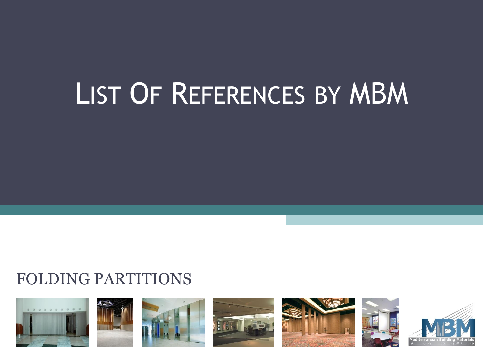# LIST OF REFERENCES BY MBM

# FOLDING PARTITIONS













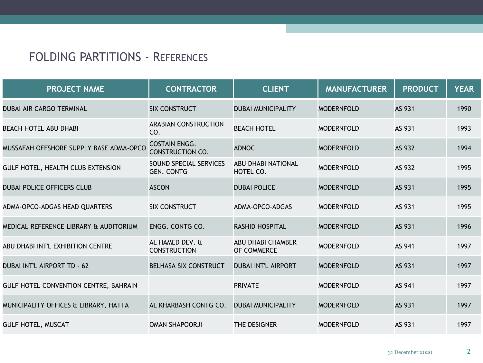| <b>PROJECT NAME</b>                     | <b>CONTRACTOR</b>                               | <b>CLIENT</b>                          | <b>MANUFACTURER</b> | <b>PRODUCT</b> | <b>YEAR</b> |
|-----------------------------------------|-------------------------------------------------|----------------------------------------|---------------------|----------------|-------------|
| <b>DUBAI AIR CARGO TERMINAL</b>         | <b>SIX CONSTRUCT</b>                            | <b>DUBAI MUNICIPALITY</b>              | <b>MODERNFOLD</b>   | AS 931         | 1990        |
| <b>BEACH HOTEL ABU DHABI</b>            | <b>ARABIAN CONSTRUCTION</b><br>CO.              | <b>BEACH HOTEL</b>                     | <b>MODERNFOLD</b>   | AS 931         | 1993        |
| MUSSAFAH OFFSHORE SUPPLY BASE ADMA-OPCO | <b>COSTAIN ENGG.</b><br><b>CONSTRUCTION CO.</b> | <b>ADNOC</b>                           | <b>MODERNFOLD</b>   | AS 932         | 1994        |
| GULF HOTEL, HEALTH CLUB EXTENSION       | SOUND SPECIAL SERVICES<br><b>GEN. CONTG</b>     | <b>ABU DHABI NATIONAL</b><br>HOTEL CO. | <b>MODERNFOLD</b>   | AS 932         | 1995        |
| <b>DUBAI POLICE OFFICERS CLUB</b>       | <b>ASCON</b>                                    | <b>DUBAI POLICE</b>                    | <b>MODERNFOLD</b>   | AS 931         | 1995        |
| ADMA-OPCO-ADGAS HEAD QUARTERS           | <b>SIX CONSTRUCT</b>                            | ADMA-OPCO-ADGAS                        | <b>MODERNFOLD</b>   | AS 931         | 1995        |
| MEDICAL REFERENCE LIBRARY & AUDITORIUM  | ENGG. CONTG CO.                                 | <b>RASHID HOSPITAL</b>                 | <b>MODERNFOLD</b>   | AS 931         | 1996        |
| ABU DHABI INT'L EXHIBITION CENTRE       | AL HAMED DEV. &<br><b>CONSTRUCTION</b>          | ABU DHABI CHAMBER<br>OF COMMERCE       | <b>MODERNFOLD</b>   | AS 941         | 1997        |
| <b>DUBAI INT'L AIRPORT TD - 62</b>      | <b>BELHASA SIX CONSTRUCT</b>                    | <b>DUBAI INT'L AIRPORT</b>             | <b>MODERNFOLD</b>   | AS 931         | 1997        |
| GULF HOTEL CONVENTION CENTRE, BAHRAIN   |                                                 | <b>PRIVATE</b>                         | <b>MODERNFOLD</b>   | AS 941         | 1997        |
| MUNICIPALITY OFFICES & LIBRARY, HATTA   | AL KHARBASH CONTG CO.                           | <b>DUBAI MUNICIPALITY</b>              | <b>MODERNFOLD</b>   | AS 931         | 1997        |
| <b>GULF HOTEL, MUSCAT</b>               | OMAN SHAPOORJI                                  | THE DESIGNER                           | <b>MODERNFOLD</b>   | AS 931         | 1997        |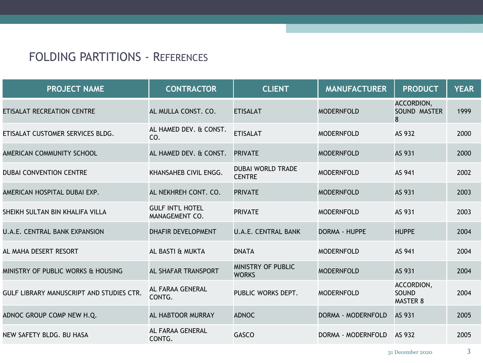| <b>PROJECT NAME</b>                      | <b>CONTRACTOR</b>                         | <b>CLIENT</b>                             | <b>MANUFACTURER</b> | <b>PRODUCT</b>                         | <b>YEAR</b> |
|------------------------------------------|-------------------------------------------|-------------------------------------------|---------------------|----------------------------------------|-------------|
| ETISALAT RECREATION CENTRE               | AL MULLA CONST. CO.                       | <b>ETISALAT</b>                           | <b>MODERNFOLD</b>   | ACCORDION,<br>SOUND MASTER<br>8        | 1999        |
| ETISALAT CUSTOMER SERVICES BLDG.         | AL HAMED DEV. & CONST.<br>CO.             | <b>ETISALAT</b>                           | <b>MODERNFOLD</b>   | AS 932                                 | 2000        |
| AMERICAN COMMUNITY SCHOOL                | AL HAMED DEV. & CONST.                    | <b>PRIVATE</b>                            | <b>MODERNFOLD</b>   | AS 931                                 | 2000        |
| <b>DUBAI CONVENTION CENTRE</b>           | KHANSAHEB CIVIL ENGG.                     | <b>DUBAI WORLD TRADE</b><br><b>CENTRE</b> | <b>MODERNFOLD</b>   | AS 941                                 | 2002        |
| AMERICAN HOSPITAL DUBAI EXP.             | AL NEKHREH CONT. CO.                      | <b>PRIVATE</b>                            | <b>MODERNFOLD</b>   | AS 931                                 | 2003        |
| SHEIKH SULTAN BIN KHALIFA VILLA          | <b>GULF INT'L HOTEL</b><br>MANAGEMENT CO. | <b>PRIVATE</b>                            | <b>MODERNFOLD</b>   | AS 931                                 | 2003        |
| <b>U.A.E. CENTRAL BANK EXPANSION</b>     | <b>DHAFIR DEVELOPMENT</b>                 | <b>U.A.E. CENTRAL BANK</b>                | DORMA - HUPPE       | <b>HUPPE</b>                           | 2004        |
| AL MAHA DESERT RESORT                    | AL BASTI & MUKTA                          | <b>DNATA</b>                              | <b>MODERNFOLD</b>   | AS 941                                 | 2004        |
| MINISTRY OF PUBLIC WORKS & HOUSING       | AL SHAFAR TRANSPORT                       | MINISTRY OF PUBLIC<br><b>WORKS</b>        | <b>MODERNFOLD</b>   | AS 931                                 | 2004        |
| GULF LIBRARY MANUSCRIPT AND STUDIES CTR. | AL FARAA GENERAL<br>CONTG.                | PUBLIC WORKS DEPT.                        | <b>MODERNFOLD</b>   | ACCORDION,<br>SOUND<br><b>MASTER 8</b> | 2004        |
| ADNOC GROUP COMP NEW H.Q.                | AL HABTOOR MURRAY                         | <b>ADNOC</b>                              | DORMA - MODERNFOLD  | AS 931                                 | 2005        |
| NEW SAFETY BLDG. BU HASA                 | AL FARAA GENERAL<br>CONTG.                | <b>GASCO</b>                              | DORMA - MODERNFOLD  | AS 932                                 | 2005        |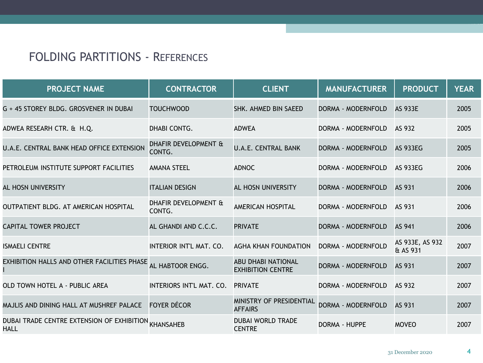| <b>PROJECT NAME</b>                                          | <b>CONTRACTOR</b>              | <b>CLIENT</b>                                         | <b>MANUFACTURER</b>       | <b>PRODUCT</b>              | <b>YEAR</b> |
|--------------------------------------------------------------|--------------------------------|-------------------------------------------------------|---------------------------|-----------------------------|-------------|
| G + 45 STOREY BLDG. GROSVENER IN DUBAI                       | <b>TOUCHWOOD</b>               | SHK. AHMED BIN SAEED                                  | DORMA - MODERNFOLD        | <b>AS 933E</b>              | 2005        |
| ADWEA RESEARH CTR. & H.Q.                                    | DHABI CONTG.                   | <b>ADWEA</b>                                          | DORMA - MODERNFOLD        | AS 932                      | 2005        |
| <b>U.A.E. CENTRAL BANK HEAD OFFICE EXTENSION</b>             | DHAFIR DEVELOPMENT &<br>CONTG. | <b>U.A.E. CENTRAL BANK</b>                            | DORMA - MODERNFOLD        | <b>AS 933EG</b>             | 2005        |
| PETROLEUM INSTITUTE SUPPORT FACILITIES                       | <b>AMANA STEEL</b>             | <b>ADNOC</b>                                          | DORMA - MODERNFOLD        | <b>AS 933EG</b>             | 2006        |
| AL HOSN UNIVERSITY                                           | <b>ITALIAN DESIGN</b>          | AL HOSN UNIVERSITY                                    | DORMA - MODERNFOLD        | AS 931                      | 2006        |
| OUTPATIENT BLDG. AT AMERICAN HOSPITAL                        | DHAFIR DEVELOPMENT &<br>CONTG. | <b>AMERICAN HOSPITAL</b>                              | DORMA - MODERNFOLD        | AS 931                      | 2006        |
| <b>CAPITAL TOWER PROJECT</b>                                 | AL GHANDI AND C.C.C.           | <b>PRIVATE</b>                                        | DORMA - MODERNFOLD        | AS 941                      | 2006        |
| <b>ISMAELI CENTRE</b>                                        | INTERIOR INT'L MAT. CO.        | AGHA KHAN FOUNDATION                                  | DORMA - MODERNFOLD        | AS 933E, AS 932<br>& AS 931 | 2007        |
| EXHIBITION HALLS AND OTHER FACILITIES PHASE                  | AL HABTOOR ENGG.               | <b>ABU DHABI NATIONAL</b><br><b>EXHIBITION CENTRE</b> | DORMA - MODERNFOLD        | AS 931                      | 2007        |
| OLD TOWN HOTEL A - PUBLIC AREA                               | INTERIORS INT'L MAT. CO.       | <b>PRIVATE</b>                                        | DORMA - MODERNFOLD        | AS 932                      | 2007        |
| MAJLIS AND DINING HALL AT MUSHREF PALACE                     | <b>FOYER DÉCOR</b>             | MINISTRY OF PRESIDENTIAL<br><b>AFFAIRS</b>            | <b>DORMA - MODERNFOLD</b> | AS 931                      | 2007        |
| DUBAI TRADE CENTRE EXTENSION OF EXHIBITION KHANSAHEB<br>HALL |                                | <b>DUBAI WORLD TRADE</b><br><b>CENTRE</b>             | DORMA - HUPPE             | <b>MOVEO</b>                | 2007        |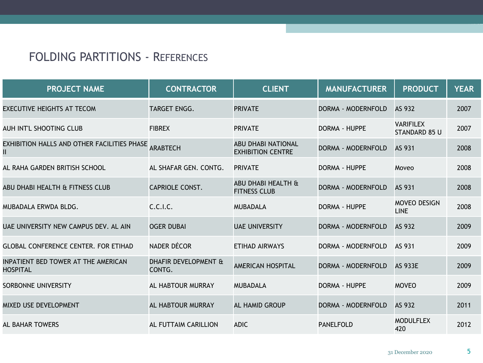| <b>PROJECT NAME</b>                                       | <b>CONTRACTOR</b>              | <b>CLIENT</b>                                         | <b>MANUFACTURER</b>  | <b>PRODUCT</b>                     | <b>YEAR</b> |
|-----------------------------------------------------------|--------------------------------|-------------------------------------------------------|----------------------|------------------------------------|-------------|
| <b>EXECUTIVE HEIGHTS AT TECOM</b>                         | TARGET ENGG.                   | <b>PRIVATE</b>                                        | DORMA - MODERNFOLD   | AS 932                             | 2007        |
| AUH INT'L SHOOTING CLUB                                   | <b>FIBREX</b>                  | <b>PRIVATE</b>                                        | <b>DORMA - HUPPE</b> | <b>VARIFILEX</b><br>STANDARD 85 U  | 2007        |
| EXHIBITION HALLS AND OTHER FACILITIES PHASE ARABTECH<br>Ш |                                | <b>ABU DHABI NATIONAL</b><br><b>EXHIBITION CENTRE</b> | DORMA - MODERNFOLD   | AS 931                             | 2008        |
| AL RAHA GARDEN BRITISH SCHOOL                             | AL SHAFAR GEN. CONTG.          | <b>PRIVATE</b>                                        | <b>DORMA - HUPPE</b> | Moveo                              | 2008        |
| ABU DHABI HEALTH & FITNESS CLUB                           | <b>CAPRIOLE CONST.</b>         | ABU DHABI HEALTH &<br><b>FITNESS CLUB</b>             | DORMA - MODERNFOLD   | AS 931                             | 2008        |
| MUBADALA ERWDA BLDG.                                      | C.C.I.C.                       | <b>MUBADALA</b>                                       | <b>DORMA - HUPPE</b> | <b>MOVEO DESIGN</b><br><b>LINE</b> | 2008        |
| UAE UNIVERSITY NEW CAMPUS DEV. AL AIN                     | <b>OGER DUBAI</b>              | <b>UAE UNIVERSITY</b>                                 | DORMA - MODERNFOLD   | AS 932                             | 2009        |
| <b>GLOBAL CONFERENCE CENTER. FOR ETIHAD</b>               | <b>NADER DÉCOR</b>             | ETIHAD AIRWAYS                                        | DORMA - MODERNFOLD   | AS 931                             | 2009        |
| INPATIENT BED TOWER AT THE AMERICAN<br><b>HOSPITAL</b>    | DHAFIR DEVELOPMENT &<br>CONTG. | <b>AMERICAN HOSPITAL</b>                              | DORMA - MODERNFOLD   | <b>AS 933E</b>                     | 2009        |
| SORBONNE UNIVERSITY                                       | AL HABTOUR MURRAY              | <b>MUBADALA</b>                                       | DORMA - HUPPE        | <b>MOVEO</b>                       | 2009        |
| <b>MIXED USE DEVELOPMENT</b>                              | AL HABTOUR MURRAY              | <b>AL HAMID GROUP</b>                                 | DORMA - MODERNFOLD   | AS 932                             | 2011        |
| <b>AL BAHAR TOWERS</b>                                    | AL FUTTAIM CARILLION           | <b>ADIC</b>                                           | <b>PANELFOLD</b>     | <b>MODULFLEX</b><br>420            | 2012        |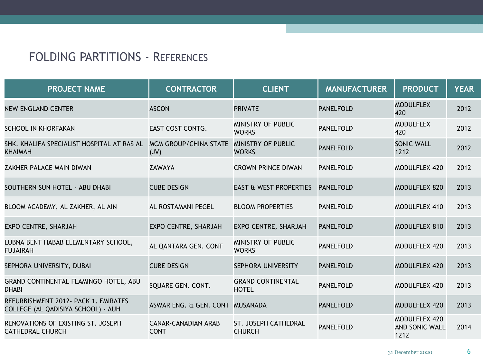| <b>PROJECT NAME</b>                                                        | <b>CONTRACTOR</b>                         | <b>CLIENT</b>                            | <b>MANUFACTURER</b> | <b>PRODUCT</b>                          | <b>YEAR</b> |
|----------------------------------------------------------------------------|-------------------------------------------|------------------------------------------|---------------------|-----------------------------------------|-------------|
| NEW ENGLAND CENTER                                                         | <b>ASCON</b>                              | <b>PRIVATE</b>                           | <b>PANELFOLD</b>    | <b>MODULFLEX</b><br>420                 | 2012        |
| SCHOOL IN KHORFAKAN                                                        | EAST COST CONTG.                          | MINISTRY OF PUBLIC<br><b>WORKS</b>       | <b>PANELFOLD</b>    | <b>MODULFLEX</b><br>420                 | 2012        |
| SHK. KHALIFA SPECIALIST HOSPITAL AT RAS AL<br><b>KHAIMAH</b>               | <b>MCM GROUP/CHINA STATE</b><br>(VU)      | MINISTRY OF PUBLIC<br><b>WORKS</b>       | <b>PANELFOLD</b>    | <b>SONIC WALL</b><br>1212               | 2012        |
| ZAKHER PALACE MAIN DIWAN                                                   | ZAWAYA                                    | <b>CROWN PRINCE DIWAN</b>                | <b>PANELFOLD</b>    | MODULFLEX 420                           | 2012        |
| SOUTHERN SUN HOTEL - ABU DHABI                                             | <b>CUBE DESIGN</b>                        | <b>EAST &amp; WEST PROPERTIES</b>        | <b>PANELFOLD</b>    | MODULFLEX 820                           | 2013        |
| BLOOM ACADEMY, AL ZAKHER, AL AIN                                           | AL ROSTAMANI PEGEL                        | <b>BLOOM PROPERTIES</b>                  | <b>PANELFOLD</b>    | MODULFLEX 410                           | 2013        |
| EXPO CENTRE, SHARJAH                                                       | EXPO CENTRE, SHARJAH                      | EXPO CENTRE, SHARJAH                     | <b>PANELFOLD</b>    | MODULFLEX 810                           | 2013        |
| LUBNA BENT HABAB ELEMENTARY SCHOOL,<br><b>FUJAIRAH</b>                     | AL QANTARA GEN. CONT                      | MINISTRY OF PUBLIC<br><b>WORKS</b>       | <b>PANELFOLD</b>    | MODULFLEX 420                           | 2013        |
| SEPHORA UNIVERSITY, DUBAI                                                  | <b>CUBE DESIGN</b>                        | SEPHORA UNIVERSITY                       | <b>PANELFOLD</b>    | MODULFLEX 420                           | 2013        |
| GRAND CONTINENTAL FLAMINGO HOTEL, ABU<br><b>DHABI</b>                      | SQUARE GEN. CONT.                         | <b>GRAND CONTINENTAL</b><br><b>HOTEL</b> | <b>PANELFOLD</b>    | MODULFLEX 420                           | 2013        |
| REFURBISHMENT 2012- PACK 1. EMIRATES<br>COLLEGE (AL QADISIYA SCHOOL) - AUH | ASWAR ENG. & GEN. CONT MUSANADA           |                                          | <b>PANELFOLD</b>    | MODULFLEX 420                           | 2013        |
| RENOVATIONS OF EXISTING ST. JOSEPH<br><b>CATHEDRAL CHURCH</b>              | <b>CANAR-CANADIAN ARAB</b><br><b>CONT</b> | ST. JOSEPH CATHEDRAL<br><b>CHURCH</b>    | <b>PANELFOLD</b>    | MODULFLEX 420<br>AND SONIC WALL<br>1212 | 2014        |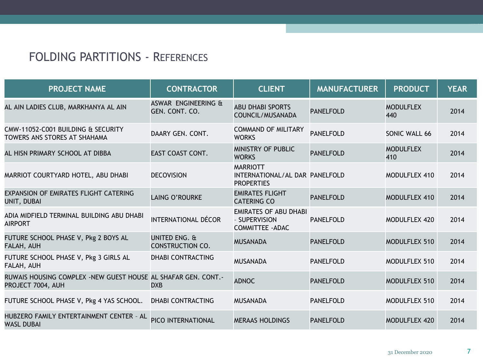| <b>PROJECT NAME</b>                                                                | <b>CONTRACTOR</b>                        | <b>CLIENT</b>                                                            | <b>MANUFACTURER</b> | <b>PRODUCT</b>          | <b>YEAR</b> |
|------------------------------------------------------------------------------------|------------------------------------------|--------------------------------------------------------------------------|---------------------|-------------------------|-------------|
| AL AIN LADIES CLUB, MARKHANYA AL AIN                                               | ASWAR ENGINEERING &<br>GEN. CONT. CO.    | <b>ABU DHABI SPORTS</b><br>COUNCIL/MUSANADA                              | <b>PANELFOLD</b>    | <b>MODULFLEX</b><br>440 | 2014        |
| CMW-11052-C001 BUILDING & SECURITY<br>TOWERS ANS STORES AT SHAHAMA                 | DAARY GEN. CONT.                         | <b>COMMAND OF MILITARY</b><br><b>WORKS</b>                               | <b>PANELFOLD</b>    | SONIC WALL 66           | 2014        |
| AL HISN PRIMARY SCHOOL AT DIBBA                                                    | <b>EAST COAST CONT.</b>                  | MINISTRY OF PUBLIC<br><b>WORKS</b>                                       | <b>PANELFOLD</b>    | <b>MODULFLEX</b><br>410 | 2014        |
| MARRIOT COURTYARD HOTEL, ABU DHABI                                                 | <b>DECOVISION</b>                        | <b>MARRIOTT</b><br>INTERNATIONAL/AL DAR PANELFOLD<br><b>PROPERTIES</b>   |                     | MODULFLEX 410           | 2014        |
| <b>EXPANSION OF EMIRATES FLIGHT CATERING</b><br>UNIT, DUBAI                        | LAING O'ROURKE                           | <b>EMIRATES FLIGHT</b><br><b>CATERING CO</b>                             | <b>PANELFOLD</b>    | MODULFLEX 410           | 2014        |
| ADIA MIDFIELD TERMINAL BUILDING ABU DHABI<br><b>AIRPORT</b>                        | <b>INTERNATIONAL DÉCOR</b>               | <b>EMIRATES OF ABU DHABI</b><br>- SUPERVISION<br><b>COMMITTEE - ADAC</b> | <b>PANELFOLD</b>    | MODULFLEX 420           | 2014        |
| FUTURE SCHOOL PHASE V, Pkg 2 BOYS AL<br>FALAH, AUH                                 | UNITED ENG. &<br><b>CONSTRUCTION CO.</b> | <b>MUSANADA</b>                                                          | <b>PANELFOLD</b>    | <b>MODULFLEX 510</b>    | 2014        |
| FUTURE SCHOOL PHASE V, Pkg 3 GIRLS AL<br>FALAH, AUH                                | <b>DHABI CONTRACTING</b>                 | <b>MUSANADA</b>                                                          | <b>PANELFOLD</b>    | <b>MODULFLEX 510</b>    | 2014        |
| RUWAIS HOUSING COMPLEX -NEW GUEST HOUSE AL SHAFAR GEN. CONT.-<br>PROJECT 7004, AUH | <b>DXB</b>                               | <b>ADNOC</b>                                                             | <b>PANELFOLD</b>    | MODULFLEX 510           | 2014        |
| FUTURE SCHOOL PHASE V, Pkg 4 YAS SCHOOL.                                           | <b>DHABI CONTRACTING</b>                 | <b>MUSANADA</b>                                                          | <b>PANELFOLD</b>    | <b>MODULFLEX 510</b>    | 2014        |
| HUBZERO FAMILY ENTERTAINMENT CENTER - AL<br><b>WASL DUBAI</b>                      | PICO INTERNATIONAL                       | <b>MERAAS HOLDINGS</b>                                                   | <b>PANELFOLD</b>    | MODULFLEX 420           | 2014        |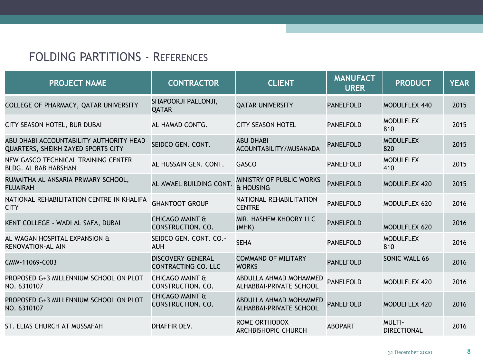| <b>PROJECT NAME</b>                                                           | <b>CONTRACTOR</b>                               | <b>CLIENT</b>                                     | <b>MANUFACT</b><br><b>URER</b> | <b>PRODUCT</b>                      | <b>YEAR</b> |
|-------------------------------------------------------------------------------|-------------------------------------------------|---------------------------------------------------|--------------------------------|-------------------------------------|-------------|
| COLLEGE OF PHARMACY, QATAR UNIVERSITY                                         | SHAPOORJI PALLONJI,<br><b>QATAR</b>             | <b>QATAR UNIVERSITY</b>                           | <b>PANELFOLD</b>               | MODULFLEX 440                       | 2015        |
| CITY SEASON HOTEL, BUR DUBAI                                                  | AL HAMAD CONTG.                                 | <b>CITY SEASON HOTEL</b>                          | <b>PANELFOLD</b>               | <b>MODULFLEX</b><br>810             | 2015        |
| ABU DHABI ACCOUNTABILITY AUTHORITY HEAD<br>QUARTERS, SHEIKH ZAYED SPORTS CITY | SEIDCO GEN. CONT.                               | <b>ABU DHABI</b><br>ACOUNTABILITY/MUSANADA        | <b>PANELFOLD</b>               | <b>MODULFLEX</b><br>820             | 2015        |
| NEW GASCO TECHNICAL TRAINING CENTER<br><b>BLDG. AL BAB HABSHAN</b>            | AL HUSSAIN GEN. CONT.                           | <b>GASCO</b>                                      | <b>PANELFOLD</b>               | <b>MODULFLEX</b><br>410             | 2015        |
| RUMAITHA AL ANSARIA PRIMARY SCHOOL,<br><b>FUJAIRAH</b>                        | AL AWAEL BUILDING CONT.                         | MINISTRY OF PUBLIC WORKS<br>& HOUSING             | <b>PANELFOLD</b>               | MODULFLEX 420                       | 2015        |
| NATIONAL REHABILITATION CENTRE IN KHALIFA<br><b>CITY</b>                      | <b>GHANTOOT GROUP</b>                           | NATIONAL REHABILITATION<br><b>CENTRE</b>          | <b>PANELFOLD</b>               | MODULFLEX 620                       | 2016        |
| KENT COLLEGE - WADI AL SAFA, DUBAI                                            | <b>CHICAGO MAINT &amp;</b><br>CONSTRUCTION. CO. | MIR. HASHEM KHOORY LLC<br>(MHK)                   | <b>PANELFOLD</b>               | MODULFLEX 620                       | 2016        |
| AL WAGAN HOSPITAL EXPANSION &<br><b>RENOVATION-AL AIN</b>                     | SEIDCO GEN. CONT. CO.-<br><b>AUH</b>            | <b>SEHA</b>                                       | <b>PANELFOLD</b>               | <b>MODULFLEX</b><br>810             | 2016        |
| CMW-11069-C003                                                                | <b>DISCOVERY GENERAL</b><br>CONTRACTING CO. LLC | <b>COMMAND OF MILITARY</b><br><b>WORKS</b>        | <b>PANELFOLD</b>               | SONIC WALL 66                       | 2016        |
| PROPOSED G+3 MILLENNIUM SCHOOL ON PLOT<br>NO. 6310107                         | <b>CHICAGO MAINT &amp;</b><br>CONSTRUCTION. CO. | ABDULLA AHMAD MOHAMMED<br>ALHABBAI-PRIVATE SCHOOL | <b>PANELFOLD</b>               | MODULFLEX 420                       | 2016        |
| PROPOSED G+3 MILLENNIUM SCHOOL ON PLOT<br>NO. 6310107                         | <b>CHICAGO MAINT &amp;</b><br>CONSTRUCTION. CO. | ABDULLA AHMAD MOHAMMED<br>ALHABBAI-PRIVATE SCHOOL | <b>PANELFOLD</b>               | MODULFLEX 420                       | 2016        |
| ST. ELIAS CHURCH AT MUSSAFAH                                                  | DHAFFIR DEV.                                    | ROME ORTHODOX<br>ARCHBISHOPIC CHURCH              | <b>ABOPART</b>                 | <b>MULTI-</b><br><b>DIRECTIONAL</b> | 2016        |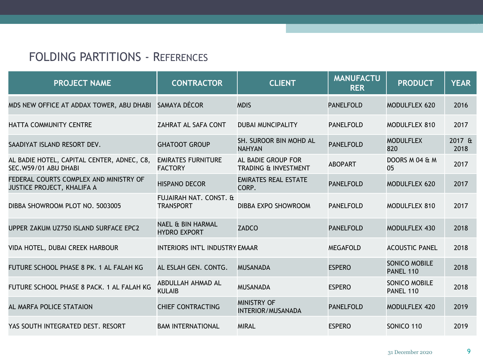| <b>PROJECT NAME</b>                                                         | <b>CONTRACTOR</b>                                   | <b>CLIENT</b>                                  | <b>MANUFACTU</b><br><b>RER</b> | <b>PRODUCT</b>                    | <b>YEAR</b>    |
|-----------------------------------------------------------------------------|-----------------------------------------------------|------------------------------------------------|--------------------------------|-----------------------------------|----------------|
| MDS NEW OFFICE AT ADDAX TOWER, ABU DHABI                                    | SAMAYA DÉCOR                                        | <b>MDIS</b>                                    | <b>PANELFOLD</b>               | <b>MODULFLEX 620</b>              | 2016           |
| HATTA COMMUNITY CENTRE                                                      | ZAHRAT AL SAFA CONT                                 | <b>DUBAI MUNCIPALITY</b>                       | <b>PANELFOLD</b>               | MODULFLEX 810                     | 2017           |
| SAADIYAT ISLAND RESORT DEV.                                                 | <b>GHATOOT GROUP</b>                                | SH. SUROOR BIN MOHD AL<br><b>NAHYAN</b>        | <b>PANELFOLD</b>               | <b>MODULFLEX</b><br>820           | 2017 &<br>2018 |
| AL BADIE HOTEL, CAPITAL CENTER, ADNEC, C8,<br>SEC.W59/01 ABU DHABI          | <b>EMIRATES FURNITURE</b><br><b>FACTORY</b>         | AL BADIE GROUP FOR<br>TRADING & INVESTMENT     | <b>ABOPART</b>                 | DOORS M 04 & M<br>05              | 2017           |
| FEDERAL COURTS COMPLEX AND MINISTRY OF<br><b>JUSTICE PROJECT, KHALIFA A</b> | <b>HISPANO DECOR</b>                                | <b>EMIRATES REAL ESTATE</b><br>CORP.           | <b>PANELFOLD</b>               | <b>MODULFLEX 620</b>              | 2017           |
| DIBBA SHOWROOM PLOT NO. 5003005                                             | FUJAIRAH NAT. CONST. &<br><b>TRANSPORT</b>          | DIBBA EXPO SHOWROOM                            | <b>PANELFOLD</b>               | MODULFLEX 810                     | 2017           |
| UPPER ZAKUM UZ750 ISLAND SURFACE EPC2                                       | <b>NAEL &amp; BIN HARMAL</b><br><b>HYDRO EXPORT</b> | <b>ZADCO</b>                                   | <b>PANELFOLD</b>               | <b>MODULFLEX 430</b>              | 2018           |
| VIDA HOTEL, DUBAI CREEK HARBOUR                                             | <b>INTERIORS INT'L INDUSTRY EMAAR</b>               |                                                | <b>MEGAFOLD</b>                | <b>ACOUSTIC PANEL</b>             | 2018           |
| FUTURE SCHOOL PHASE 8 PK. 1 AL FALAH KG                                     | AL ESLAH GEN. CONTG.                                | <b>MUSANADA</b>                                | <b>ESPERO</b>                  | <b>SONICO MOBILE</b><br>PANEL 110 | 2018           |
| FUTURE SCHOOL PHASE 8 PACK, 1 AL FALAH KG                                   | ABDULLAH AHMAD AL<br><b>KULAIB</b>                  | <b>MUSANADA</b>                                | <b>ESPERO</b>                  | SONICO MOBILE<br>PANEL 110        | 2018           |
| AL MARFA POLICE STATAION                                                    | <b>CHIEF CONTRACTING</b>                            | <b>MINISTRY OF</b><br><b>INTERIOR/MUSANADA</b> | <b>PANELFOLD</b>               | MODULFLEX 420                     | 2019           |
| YAS SOUTH INTEGRATED DEST. RESORT                                           | <b>BAM INTERNATIONAL</b>                            | <b>MIRAL</b>                                   | <b>ESPERO</b>                  | SONICO 110                        | 2019           |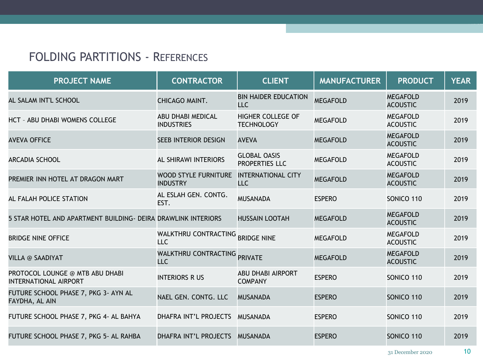| <b>PROJECT NAME</b>                                             | <b>CONTRACTOR</b>                              | <b>CLIENT</b>                                 | <b>MANUFACTURER</b> | <b>PRODUCT</b>                     | <b>YEAR</b> |
|-----------------------------------------------------------------|------------------------------------------------|-----------------------------------------------|---------------------|------------------------------------|-------------|
| AL SALAM INT'L SCHOOL                                           | CHICAGO MAINT.                                 | <b>BIN HAIDER EDUCATION</b><br><b>LLC</b>     | <b>MEGAFOLD</b>     | <b>MEGAFOLD</b><br><b>ACOUSTIC</b> | 2019        |
| HCT - ABU DHABI WOMENS COLLEGE                                  | <b>ABU DHABI MEDICAL</b><br><b>INDUSTRIES</b>  | <b>HIGHER COLLEGE OF</b><br><b>TECHNOLOGY</b> | <b>MEGAFOLD</b>     | <b>MEGAFOLD</b><br><b>ACOUSTIC</b> | 2019        |
| <b>AVEVA OFFICE</b>                                             | SEEB INTERIOR DESIGN                           | <b>AVEVA</b>                                  | <b>MEGAFOLD</b>     | <b>MEGAFOLD</b><br><b>ACOUSTIC</b> | 2019        |
| <b>ARCADIA SCHOOL</b>                                           | AL SHIRAWI INTERIORS                           | <b>GLOBAL OASIS</b><br>PROPERTIES LLC         | <b>MEGAFOLD</b>     | <b>MEGAFOLD</b><br><b>ACOUSTIC</b> | 2019        |
| PREMIER INN HOTEL AT DRAGON MART                                | <b>WOOD STYLE FURNITURE</b><br><b>INDUSTRY</b> | <b>INTERNATIONAL CITY</b><br><b>LLC</b>       | <b>MEGAFOLD</b>     | <b>MEGAFOLD</b><br><b>ACOUSTIC</b> | 2019        |
| AL FALAH POLICE STATION                                         | AL ESLAH GEN. CONTG.<br>EST.                   | <b>MUSANADA</b>                               | <b>ESPERO</b>       | SONICO 110                         | 2019        |
| 5 STAR HOTEL AND APARTMENT BUILDING- DEIRA DRAWLINK INTERIORS   |                                                | <b>HUSSAIN LOOTAH</b>                         | <b>MEGAFOLD</b>     | <b>MEGAFOLD</b><br><b>ACOUSTIC</b> | 2019        |
| <b>BRIDGE NINE OFFICE</b>                                       | <b>WALKTHRU CONTRACTING</b><br><b>LLC</b>      | <b>BRIDGE NINE</b>                            | <b>MEGAFOLD</b>     | <b>MEGAFOLD</b><br><b>ACOUSTIC</b> | 2019        |
| <b>VILLA @ SAADIYAT</b>                                         | WALKTHRU CONTRACTING PRIVATE<br>LLC            |                                               | <b>MEGAFOLD</b>     | <b>MEGAFOLD</b><br><b>ACOUSTIC</b> | 2019        |
| PROTOCOL LOUNGE @ MTB ABU DHABI<br><b>INTERNATIONAL AIRPORT</b> | <b>INTERIORS R US</b>                          | <b>ABU DHABI AIRPORT</b><br><b>COMPANY</b>    | <b>ESPERO</b>       | SONICO 110                         | 2019        |
| FUTURE SCHOOL PHASE 7, PKG 3- AYN AL<br>FAYDHA, AL AIN          | NAEL GEN. CONTG. LLC                           | <b>MUSANADA</b>                               | <b>ESPERO</b>       | SONICO 110                         | 2019        |
| FUTURE SCHOOL PHASE 7, PKG 4- AL BAHYA                          | <b>DHAFRA INT'L PROJECTS</b>                   | <b>MUSANADA</b>                               | <b>ESPERO</b>       | SONICO 110                         | 2019        |
| FUTURE SCHOOL PHASE 7, PKG 5- AL RAHBA                          | DHAFRA INT'L PROJECTS                          | <b>MUSANADA</b>                               | <b>ESPERO</b>       | SONICO 110                         | 2019        |